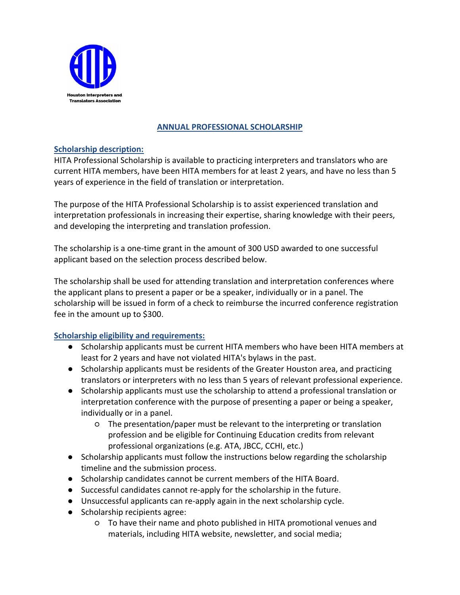

# **ANNUAL PROFESSIONAL SCHOLARSHIP**

### **Scholarship description:**

HITA Professional Scholarship is available to practicing interpreters and translators who are current HITA members, have been HITA members for at least 2 years, and have no less than 5 years of experience in the field of translation or interpretation.

The purpose of the HITA Professional Scholarship is to assist experienced translation and interpretation professionals in increasing their expertise, sharing knowledge with their peers, and developing the interpreting and translation profession.

The scholarship is a one-time grant in the amount of 300 USD awarded to one successful applicant based on the selection process described below.

The scholarship shall be used for attending translation and interpretation conferences where the applicant plans to present a paper or be a speaker, individually or in a panel. The scholarship will be issued in form of a check to reimburse the incurred conference registration fee in the amount up to \$300.

## **Scholarship eligibility and requirements:**

- Scholarship applicants must be current HITA members who have been HITA members at least for 2 years and have not violated HITA's bylaws in the past.
- Scholarship applicants must be residents of the Greater Houston area, and practicing translators or interpreters with no less than 5 years of relevant professional experience.
- Scholarship applicants must use the scholarship to attend a professional translation or interpretation conference with the purpose of presenting a paper or being a speaker, individually or in a panel.
	- The presentation/paper must be relevant to the interpreting or translation profession and be eligible for Continuing Education credits from relevant professional organizations (e.g. ATA, JBCC, CCHI, etc.)
- Scholarship applicants must follow the instructions below regarding the scholarship timeline and the submission process.
- Scholarship candidates cannot be current members of the HITA Board.
- Successful candidates cannot re-apply for the scholarship in the future.
- Unsuccessful applicants can re-apply again in the next scholarship cycle.
- Scholarship recipients agree:
	- To have their name and photo published in HITA promotional venues and materials, including HITA website, newsletter, and social media;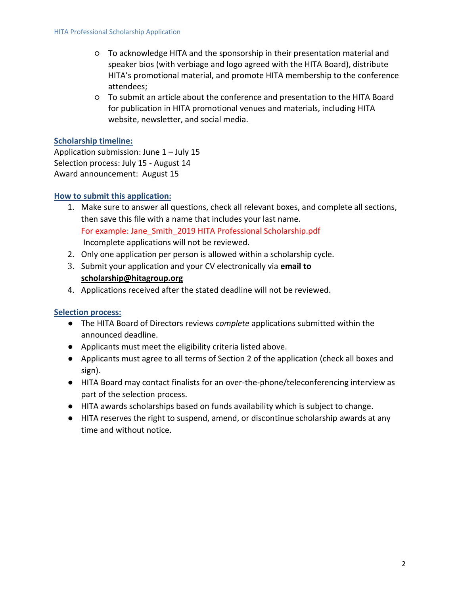- To acknowledge HITA and the sponsorship in their presentation material and speaker bios (with verbiage and logo agreed with the HITA Board), distribute HITA's promotional material, and promote HITA membership to the conference attendees;
- To submit an article about the conference and presentation to the HITA Board for publication in HITA promotional venues and materials, including HITA website, newsletter, and social media.

### **Scholarship timeline:**

Application submission: June  $1 -$  July 15 Selection process: July 15 - August 14 Award announcement: August 15

### **How to submit this application:**

- 1. Make sure to answer all questions, check all relevant boxes, and complete all sections, then save this file with a name that includes your last name. For example: Jane\_Smith\_2019 HITA Professional Scholarship.pdf Incomplete applications will not be reviewed.
- 2. Only one application per person is allowed within a scholarship cycle.
- 3. Submit your application and your CV electronically via **email to [scholarship@hitagroup.org](mailto:scholarship@hitagroup.org)**
- 4. Applications received after the stated deadline will not be reviewed.

## **Selection process:**

- The HITA Board of Directors reviews *complete* applications submitted within the announced deadline.
- Applicants must meet the eligibility criteria listed above.
- Applicants must agree to all terms of Section 2 of the application (check all boxes and sign).
- HITA Board may contact finalists for an over-the-phone/teleconferencing interview as part of the selection process.
- HITA awards scholarships based on funds availability which is subject to change.
- HITA reserves the right to suspend, amend, or discontinue scholarship awards at any time and without notice.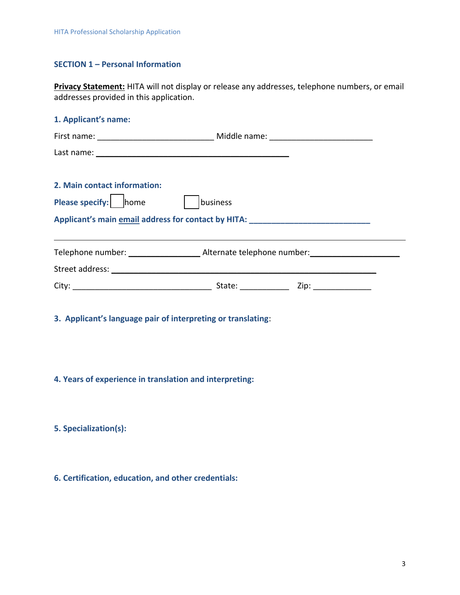#### **SECTION 1 – Personal Information**

**Privacy Statement:** HITA will not display or release any addresses, telephone numbers, or email addresses provided in this application.

| 1. Applicant's name:                                                             |          |  |
|----------------------------------------------------------------------------------|----------|--|
|                                                                                  |          |  |
|                                                                                  |          |  |
|                                                                                  |          |  |
| 2. Main contact information:                                                     |          |  |
| Please specify: home                                                             | business |  |
| Applicant's main email address for contact by HITA: ____________________________ |          |  |
|                                                                                  |          |  |
|                                                                                  |          |  |
|                                                                                  |          |  |
|                                                                                  |          |  |

**3. Applicant's language pair of interpreting or translating**:

**4. Years of experience in translation and interpreting:**

**5. Specialization(s):**

**6. Certification, education, and other credentials:**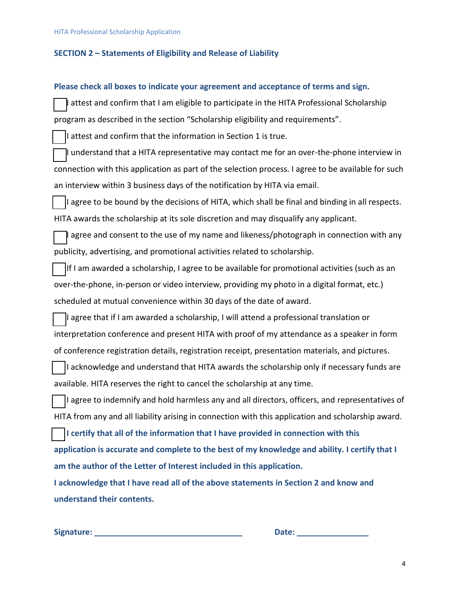#### **SECTION 2 – Statements of Eligibility and Release of Liability**

#### **Please check all boxes to indicate your agreement and acceptance of terms and sign.**

attest and confirm that I am eligible to participate in the HITA Professional Scholarship program as described in the section "Scholarship eligibility and requirements".

I attest and confirm that the information in Section 1 is true.

I understand that a HITA representative may contact me for an over-the-phone interview in connection with this application as part of the selection process. I agree to be available for such an interview within 3 business days of the notification by HITA via email.

I agree to be bound by the decisions of HITA, which shall be final and binding in all respects. HITA awards the scholarship at its sole discretion and may disqualify any applicant.

agree and consent to the use of my name and likeness/photograph in connection with any publicity, advertising, and promotional activities related to scholarship.

If I am awarded a scholarship, I agree to be available for promotional activities (such as an over-the-phone, in-person or video interview, providing my photo in a digital format, etc.) scheduled at mutual convenience within 30 days of the date of award.

☐ I agree that if I am awarded a scholarship, I will attend a professional translation or interpretation conference and present HITA with proof of my attendance as a speaker in form of conference registration details, registration receipt, presentation materials, and pictures.

I acknowledge and understand that HITA awards the scholarship only if necessary funds are available. HITA reserves the right to cancel the scholarship at any time.

I agree to indemnify and hold harmless any and all directors, officers, and representatives of HITA from any and all liability arising in connection with this application and scholarship award.

☐ **I certify that all of the information that I have provided in connection with this application is accurate and complete to the best of my knowledge and ability. I certify that I am the author of the Letter of Interest included in this application.** 

**I acknowledge that I have read all of the above statements in Section 2 and know and understand their contents.**

**Signature: \_\_\_\_\_\_\_\_\_\_\_\_\_\_\_\_\_\_\_\_\_\_\_\_\_\_\_\_\_\_\_\_\_ Date: \_\_\_\_\_\_\_\_\_\_\_\_\_\_\_\_**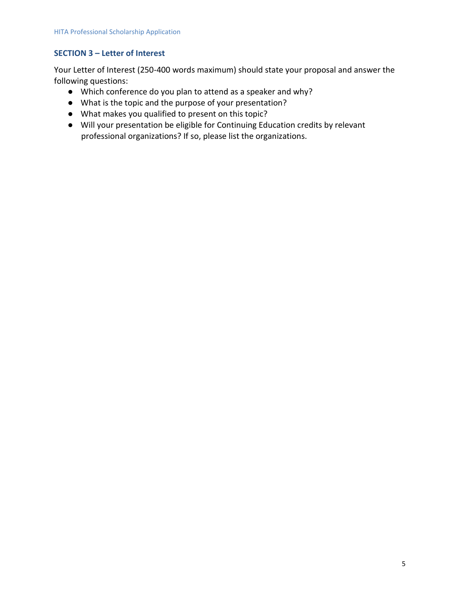## **SECTION 3 – Letter of Interest**

Your Letter of Interest (250-400 words maximum) should state your proposal and answer the following questions:

- Which conference do you plan to attend as a speaker and why?
- What is the topic and the purpose of your presentation?
- What makes you qualified to present on this topic?
- Will your presentation be eligible for Continuing Education credits by relevant professional organizations? If so, please list the organizations.